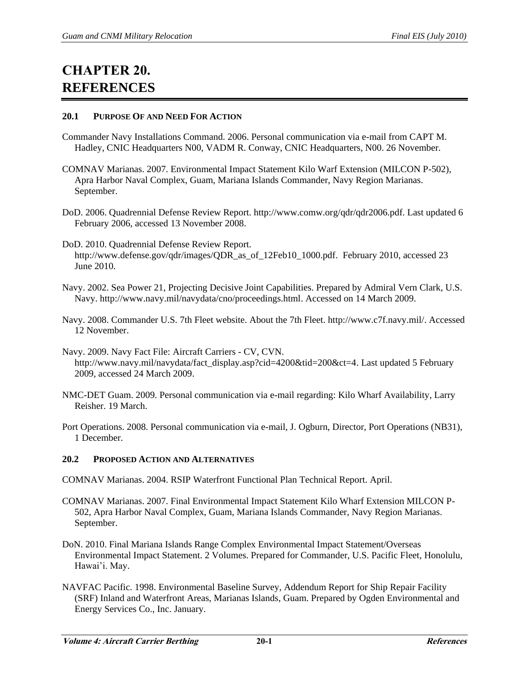# **CHAPTER 20. REFERENCES**

## **20.1 PURPOSE OF AND NEED FOR ACTION**

- Commander Navy Installations Command. 2006. Personal communication via e-mail from CAPT M. Hadley, CNIC Headquarters N00, VADM R. Conway, CNIC Headquarters, N00. 26 November.
- COMNAV Marianas. 2007. Environmental Impact Statement Kilo Warf Extension (MILCON P-502), Apra Harbor Naval Complex, Guam, Mariana Islands Commander, Navy Region Marianas. September.
- DoD. 2006. Quadrennial Defense Review Report. http://www.comw.org/qdr/qdr2006.pdf. Last updated 6 February 2006, accessed 13 November 2008.
- DoD. 2010. Quadrennial Defense Review Report. http://www.defense.gov/qdr/images/QDR\_as\_of\_12Feb10\_1000.pdf. February 2010, accessed 23 June 2010.
- Navy. 2002. Sea Power 21, Projecting Decisive Joint Capabilities. Prepared by Admiral Vern Clark, U.S. Navy. http://www.navy.mil/navydata/cno/proceedings.html. Accessed on 14 March 2009.
- Navy. 2008. Commander U.S. 7th Fleet website. About the 7th Fleet. http://www.c7f.navy.mil/. Accessed 12 November.
- Navy. 2009. Navy Fact File: Aircraft Carriers CV, CVN. http://www.navy.mil/navydata/fact\_display.asp?cid=4200&tid=200&ct=4. Last updated 5 February 2009, accessed 24 March 2009.
- NMC-DET Guam. 2009. Personal communication via e-mail regarding: Kilo Wharf Availability, Larry Reisher. 19 March.
- Port Operations. 2008. Personal communication via e-mail, J. Ogburn, Director, Port Operations (NB31), 1 December.

# **20.2 PROPOSED ACTION AND ALTERNATIVES**

COMNAV Marianas. 2004. RSIP Waterfront Functional Plan Technical Report. April.

- COMNAV Marianas. 2007. Final Environmental Impact Statement Kilo Wharf Extension MILCON P-502, Apra Harbor Naval Complex, Guam, Mariana Islands Commander, Navy Region Marianas. September.
- DoN. 2010. Final Mariana Islands Range Complex Environmental Impact Statement/Overseas Environmental Impact Statement. 2 Volumes. Prepared for Commander, U.S. Pacific Fleet, Honolulu, Hawai'i. May.
- NAVFAC Pacific. 1998. Environmental Baseline Survey, Addendum Report for Ship Repair Facility (SRF) Inland and Waterfront Areas, Marianas Islands, Guam. Prepared by Ogden Environmental and Energy Services Co., Inc. January.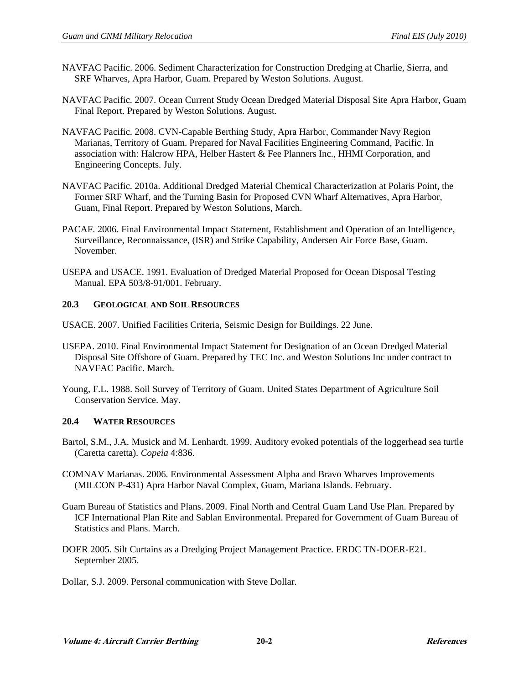- NAVFAC Pacific. 2006. Sediment Characterization for Construction Dredging at Charlie, Sierra, and SRF Wharves, Apra Harbor, Guam. Prepared by Weston Solutions. August.
- NAVFAC Pacific. 2007. Ocean Current Study Ocean Dredged Material Disposal Site Apra Harbor, Guam Final Report. Prepared by Weston Solutions. August.
- NAVFAC Pacific. 2008. CVN-Capable Berthing Study, Apra Harbor, Commander Navy Region Marianas, Territory of Guam. Prepared for Naval Facilities Engineering Command, Pacific. In association with: Halcrow HPA, Helber Hastert & Fee Planners Inc., HHMI Corporation, and Engineering Concepts. July.
- NAVFAC Pacific. 2010a. Additional Dredged Material Chemical Characterization at Polaris Point, the Former SRF Wharf, and the Turning Basin for Proposed CVN Wharf Alternatives, Apra Harbor, Guam, Final Report. Prepared by Weston Solutions, March.
- PACAF. 2006. Final Environmental Impact Statement, Establishment and Operation of an Intelligence, Surveillance, Reconnaissance, (ISR) and Strike Capability, Andersen Air Force Base, Guam. November.
- USEPA and USACE. 1991. Evaluation of Dredged Material Proposed for Ocean Disposal Testing Manual. EPA 503/8-91/001. February.

# **20.3 GEOLOGICAL AND SOIL RESOURCES**

- USACE. 2007. Unified Facilities Criteria, Seismic Design for Buildings. 22 June.
- USEPA. 2010. Final Environmental Impact Statement for Designation of an Ocean Dredged Material Disposal Site Offshore of Guam. Prepared by TEC Inc. and Weston Solutions Inc under contract to NAVFAC Pacific. March.
- Young, F.L. 1988. Soil Survey of Territory of Guam. United States Department of Agriculture Soil Conservation Service. May.

## **20.4 WATER RESOURCES**

- Bartol, S.M., J.A. Musick and M. Lenhardt. 1999. Auditory evoked potentials of the loggerhead sea turtle (Caretta caretta). *Copeia* 4:836.
- COMNAV Marianas. 2006. Environmental Assessment Alpha and Bravo Wharves Improvements (MILCON P-431) Apra Harbor Naval Complex, Guam, Mariana Islands. February.
- Guam Bureau of Statistics and Plans. 2009. Final North and Central Guam Land Use Plan. Prepared by ICF International Plan Rite and Sablan Environmental. Prepared for Government of Guam Bureau of Statistics and Plans. March.
- DOER 2005. Silt Curtains as a Dredging Project Management Practice. ERDC TN-DOER-E21. September 2005.
- Dollar, S.J. 2009. Personal communication with Steve Dollar.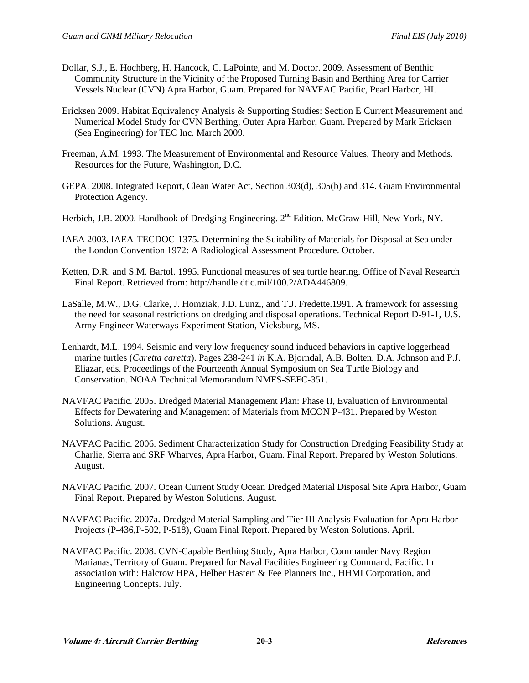- Dollar, S.J., E. Hochberg, H. Hancock, C. LaPointe, and M. Doctor. 2009. Assessment of Benthic Community Structure in the Vicinity of the Proposed Turning Basin and Berthing Area for Carrier Vessels Nuclear (CVN) Apra Harbor, Guam. Prepared for NAVFAC Pacific, Pearl Harbor, HI.
- Ericksen 2009. Habitat Equivalency Analysis & Supporting Studies: Section E Current Measurement and Numerical Model Study for CVN Berthing, Outer Apra Harbor, Guam. Prepared by Mark Ericksen (Sea Engineering) for TEC Inc. March 2009.
- Freeman, A.M. 1993. The Measurement of Environmental and Resource Values, Theory and Methods. Resources for the Future, Washington, D.C.
- GEPA. 2008. Integrated Report, Clean Water Act, Section 303(d), 305(b) and 314. Guam Environmental Protection Agency.
- Herbich, J.B. 2000. Handbook of Dredging Engineering. 2<sup>nd</sup> Edition. McGraw-Hill, New York, NY.
- IAEA 2003. IAEA-TECDOC-1375. Determining the Suitability of Materials for Disposal at Sea under the London Convention 1972: A Radiological Assessment Procedure. October.
- Ketten, D.R. and S.M. Bartol. 1995. Functional measures of sea turtle hearing. Office of Naval Research Final Report. Retrieved from: http://handle.dtic.mil/100.2/ADA446809.
- LaSalle, M.W., D.G. Clarke, J. Homziak, J.D. Lunz,, and T.J. Fredette.1991. A framework for assessing the need for seasonal restrictions on dredging and disposal operations. Technical Report D-91-1, U.S. Army Engineer Waterways Experiment Station, Vicksburg, MS.
- Lenhardt, M.L. 1994. Seismic and very low frequency sound induced behaviors in captive loggerhead marine turtles (*Caretta caretta*). Pages 238-241 *in* K.A. Bjorndal, A.B. Bolten, D.A. Johnson and P.J. Eliazar, eds. Proceedings of the Fourteenth Annual Symposium on Sea Turtle Biology and Conservation. NOAA Technical Memorandum NMFS-SEFC-351.
- NAVFAC Pacific. 2005. Dredged Material Management Plan: Phase II, Evaluation of Environmental Effects for Dewatering and Management of Materials from MCON P-431. Prepared by Weston Solutions. August.
- NAVFAC Pacific. 2006. Sediment Characterization Study for Construction Dredging Feasibility Study at Charlie, Sierra and SRF Wharves, Apra Harbor, Guam. Final Report. Prepared by Weston Solutions. August.
- NAVFAC Pacific. 2007. Ocean Current Study Ocean Dredged Material Disposal Site Apra Harbor, Guam Final Report. Prepared by Weston Solutions. August.
- NAVFAC Pacific. 2007a. Dredged Material Sampling and Tier III Analysis Evaluation for Apra Harbor Projects (P-436,P-502, P-518), Guam Final Report. Prepared by Weston Solutions. April.
- NAVFAC Pacific. 2008. CVN-Capable Berthing Study, Apra Harbor, Commander Navy Region Marianas, Territory of Guam. Prepared for Naval Facilities Engineering Command, Pacific. In association with: Halcrow HPA, Helber Hastert & Fee Planners Inc., HHMI Corporation, and Engineering Concepts. July.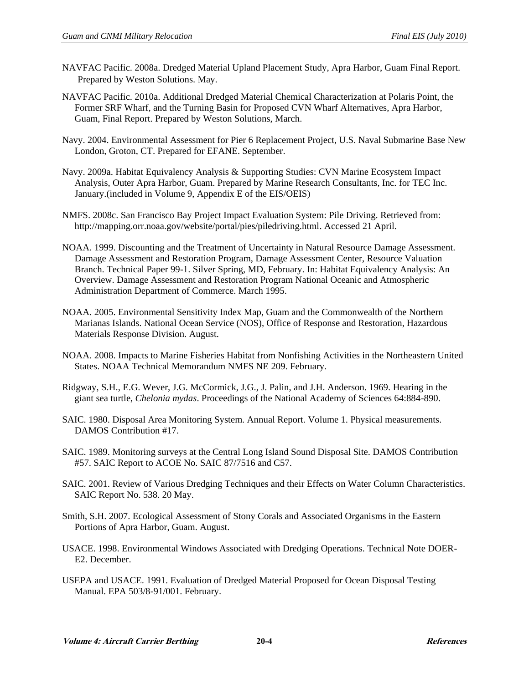- NAVFAC Pacific. 2008a. Dredged Material Upland Placement Study, Apra Harbor, Guam Final Report. Prepared by Weston Solutions. May.
- NAVFAC Pacific. 2010a. Additional Dredged Material Chemical Characterization at Polaris Point, the Former SRF Wharf, and the Turning Basin for Proposed CVN Wharf Alternatives, Apra Harbor, Guam, Final Report. Prepared by Weston Solutions, March.
- Navy. 2004. Environmental Assessment for Pier 6 Replacement Project, U.S. Naval Submarine Base New London, Groton, CT. Prepared for EFANE. September.
- Navy. 2009a. Habitat Equivalency Analysis & Supporting Studies: CVN Marine Ecosystem Impact Analysis, Outer Apra Harbor, Guam. Prepared by Marine Research Consultants, Inc. for TEC Inc. January.(included in Volume 9, Appendix E of the EIS/OEIS)
- NMFS. 2008c. San Francisco Bay Project Impact Evaluation System: Pile Driving. Retrieved from: http://mapping.orr.noaa.gov/website/portal/pies/piledriving.html. Accessed 21 April.
- NOAA. 1999. Discounting and the Treatment of Uncertainty in Natural Resource Damage Assessment. Damage Assessment and Restoration Program, Damage Assessment Center, Resource Valuation Branch. Technical Paper 99-1. Silver Spring, MD, February. In: Habitat Equivalency Analysis: An Overview. Damage Assessment and Restoration Program National Oceanic and Atmospheric Administration Department of Commerce. March 1995.
- NOAA. 2005. Environmental Sensitivity Index Map, Guam and the Commonwealth of the Northern Marianas Islands. National Ocean Service (NOS), Office of Response and Restoration, Hazardous Materials Response Division. August.
- NOAA. 2008. Impacts to Marine Fisheries Habitat from Nonfishing Activities in the Northeastern United States. NOAA Technical Memorandum NMFS NE 209. February.
- Ridgway, S.H., E.G. Wever, J.G. McCormick, J.G., J. Palin, and J.H. Anderson. 1969. Hearing in the giant sea turtle, *Chelonia mydas*. Proceedings of the National Academy of Sciences 64:884-890.
- SAIC. 1980. Disposal Area Monitoring System. Annual Report. Volume 1. Physical measurements. DAMOS Contribution #17.
- SAIC. 1989. Monitoring surveys at the Central Long Island Sound Disposal Site. DAMOS Contribution #57. SAIC Report to ACOE No. SAIC 87/7516 and C57.
- SAIC. 2001. Review of Various Dredging Techniques and their Effects on Water Column Characteristics. SAIC Report No. 538. 20 May.
- Smith, S.H. 2007. Ecological Assessment of Stony Corals and Associated Organisms in the Eastern Portions of Apra Harbor, Guam. August.
- USACE. 1998. Environmental Windows Associated with Dredging Operations. Technical Note DOER-E2. December.
- USEPA and USACE. 1991. Evaluation of Dredged Material Proposed for Ocean Disposal Testing Manual. EPA 503/8-91/001. February.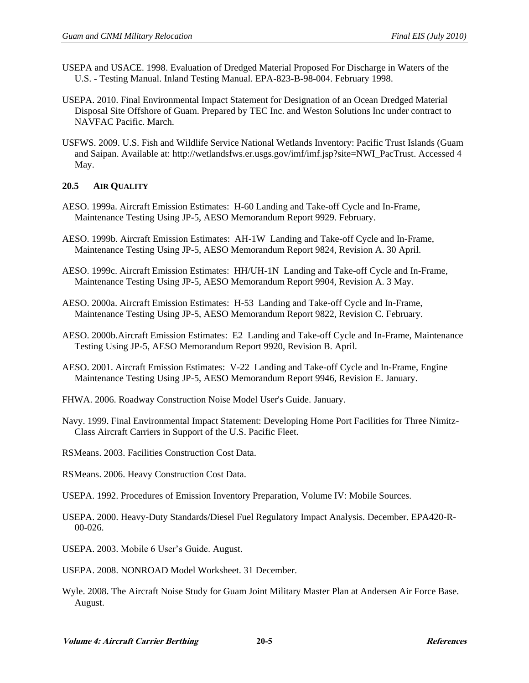- USEPA and USACE. 1998. Evaluation of Dredged Material Proposed For Discharge in Waters of the U.S. - Testing Manual. Inland Testing Manual. EPA-823-B-98-004. February 1998.
- USEPA. 2010. Final Environmental Impact Statement for Designation of an Ocean Dredged Material Disposal Site Offshore of Guam. Prepared by TEC Inc. and Weston Solutions Inc under contract to NAVFAC Pacific. March.
- USFWS. 2009. U.S. Fish and Wildlife Service National Wetlands Inventory: Pacific Trust Islands (Guam and Saipan. Available at: http://wetlandsfws.er.usgs.gov/imf/imf.jsp?site=NWI\_PacTrust. Accessed 4 May.

# **20.5 AIR QUALITY**

- AESO. 1999a. Aircraft Emission Estimates: H-60 Landing and Take-off Cycle and In-Frame, Maintenance Testing Using JP-5, AESO Memorandum Report 9929. February.
- AESO. 1999b. Aircraft Emission Estimates: AH-1W Landing and Take-off Cycle and In-Frame, Maintenance Testing Using JP-5, AESO Memorandum Report 9824, Revision A. 30 April.
- AESO. 1999c. Aircraft Emission Estimates: HH/UH-1N Landing and Take-off Cycle and In-Frame, Maintenance Testing Using JP-5, AESO Memorandum Report 9904, Revision A. 3 May.
- AESO. 2000a. Aircraft Emission Estimates: H-53 Landing and Take-off Cycle and In-Frame, Maintenance Testing Using JP-5, AESO Memorandum Report 9822, Revision C. February.
- AESO. 2000b.Aircraft Emission Estimates: E2 Landing and Take-off Cycle and In-Frame, Maintenance Testing Using JP-5, AESO Memorandum Report 9920, Revision B. April.
- AESO. 2001. Aircraft Emission Estimates: V-22 Landing and Take-off Cycle and In-Frame, Engine Maintenance Testing Using JP-5, AESO Memorandum Report 9946, Revision E. January.
- FHWA. 2006. Roadway Construction Noise Model User's Guide. January.
- Navy. 1999. Final Environmental Impact Statement: Developing Home Port Facilities for Three Nimitz-Class Aircraft Carriers in Support of the U.S. Pacific Fleet.
- RSMeans. 2003. Facilities Construction Cost Data.
- RSMeans. 2006. Heavy Construction Cost Data.
- USEPA. 1992. Procedures of Emission Inventory Preparation, Volume IV: Mobile Sources.
- USEPA. 2000. Heavy-Duty Standards/Diesel Fuel Regulatory Impact Analysis. December. EPA420-R-00-026.
- USEPA. 2003. Mobile 6 User's Guide. August.
- USEPA. 2008. NONROAD Model Worksheet. 31 December.
- Wyle. 2008. The Aircraft Noise Study for Guam Joint Military Master Plan at Andersen Air Force Base. August.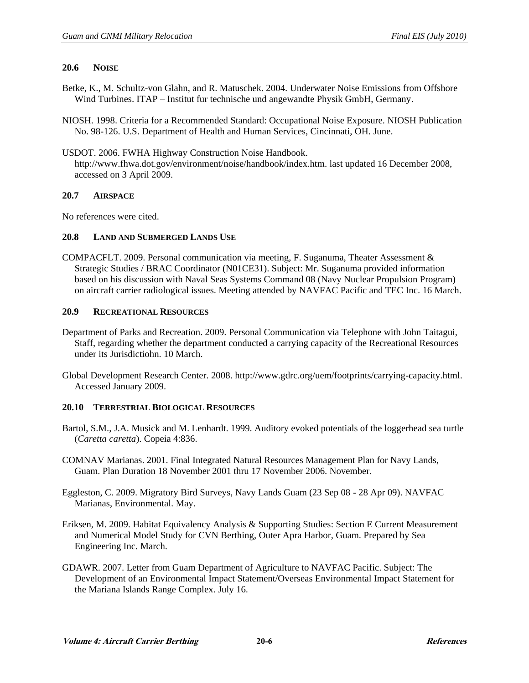### **20.6 NOISE**

- Betke, K., M. Schultz-von Glahn, and R. Matuschek. 2004. Underwater Noise Emissions from Offshore Wind Turbines. ITAP – Institut fur technische und angewandte Physik GmbH, Germany.
- NIOSH. 1998. Criteria for a Recommended Standard: Occupational Noise Exposure. NIOSH Publication No. 98-126. U.S. Department of Health and Human Services, Cincinnati, OH. June.
- USDOT. 2006. FWHA Highway Construction Noise Handbook. http://www.fhwa.dot.gov/environment/noise/handbook/index.htm. last updated 16 December 2008, accessed on 3 April 2009.

#### **20.7 AIRSPACE**

No references were cited.

## **20.8 LAND AND SUBMERGED LANDS USE**

COMPACFLT. 2009. Personal communication via meeting, F. Suganuma, Theater Assessment & Strategic Studies / BRAC Coordinator (N01CE31). Subject: Mr. Suganuma provided information based on his discussion with Naval Seas Systems Command 08 (Navy Nuclear Propulsion Program) on aircraft carrier radiological issues. Meeting attended by NAVFAC Pacific and TEC Inc. 16 March.

#### **20.9 RECREATIONAL RESOURCES**

- Department of Parks and Recreation. 2009. Personal Communication via Telephone with John Taitagui, Staff, regarding whether the department conducted a carrying capacity of the Recreational Resources under its Jurisdictiohn. 10 March.
- Global Development Research Center. 2008. http://www.gdrc.org/uem/footprints/carrying-capacity.html. Accessed January 2009.

## **20.10 TERRESTRIAL BIOLOGICAL RESOURCES**

- Bartol, S.M., J.A. Musick and M. Lenhardt. 1999. Auditory evoked potentials of the loggerhead sea turtle (*Caretta caretta*). Copeia 4:836.
- COMNAV Marianas. 2001. Final Integrated Natural Resources Management Plan for Navy Lands, Guam. Plan Duration 18 November 2001 thru 17 November 2006. November.
- Eggleston, C. 2009. Migratory Bird Surveys, Navy Lands Guam (23 Sep 08 28 Apr 09). NAVFAC Marianas, Environmental. May.
- Eriksen, M. 2009. Habitat Equivalency Analysis & Supporting Studies: Section E Current Measurement and Numerical Model Study for CVN Berthing, Outer Apra Harbor, Guam. Prepared by Sea Engineering Inc. March.
- GDAWR. 2007. Letter from Guam Department of Agriculture to NAVFAC Pacific. Subject: The Development of an Environmental Impact Statement/Overseas Environmental Impact Statement for the Mariana Islands Range Complex. July 16.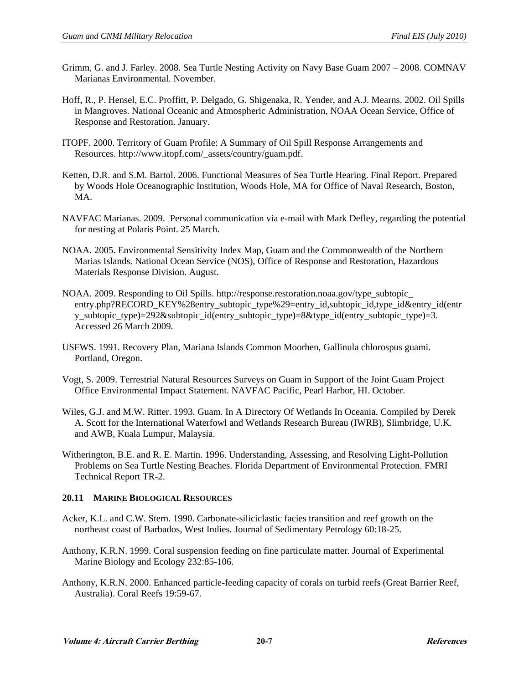- Grimm, G. and J. Farley. 2008. Sea Turtle Nesting Activity on Navy Base Guam 2007 2008. COMNAV Marianas Environmental. November.
- Hoff, R., P. Hensel, E.C. Proffitt, P. Delgado, G. Shigenaka, R. Yender, and A.J. Mearns. 2002. Oil Spills in Mangroves. National Oceanic and Atmospheric Administration, NOAA Ocean Service, Office of Response and Restoration. January.
- ITOPF. 2000. Territory of Guam Profile: A Summary of Oil Spill Response Arrangements and Resources. http://www.itopf.com/\_assets/country/guam.pdf.
- Ketten, D.R. and S.M. Bartol. 2006. Functional Measures of Sea Turtle Hearing. Final Report. Prepared by Woods Hole Oceanographic Institution, Woods Hole, MA for Office of Naval Research, Boston, MA.
- NAVFAC Marianas. 2009. Personal communication via e-mail with Mark Defley, regarding the potential for nesting at Polaris Point. 25 March.
- NOAA. 2005. Environmental Sensitivity Index Map, Guam and the Commonwealth of the Northern Marias Islands. National Ocean Service (NOS), Office of Response and Restoration, Hazardous Materials Response Division. August.
- NOAA. 2009. Responding to Oil Spills. http://response.restoration.noaa.gov/type\_subtopic\_ entry.php?RECORD\_KEY%28entry\_subtopic\_type%29=entry\_id,subtopic\_id,type\_id&entry\_id(entr y\_subtopic\_type)=292&subtopic\_id(entry\_subtopic\_type)=8&type\_id(entry\_subtopic\_type)=3. Accessed 26 March 2009.
- USFWS. 1991. Recovery Plan, Mariana Islands Common Moorhen, Gallinula chlorospus guami. Portland, Oregon.
- Vogt, S. 2009. Terrestrial Natural Resources Surveys on Guam in Support of the Joint Guam Project Office Environmental Impact Statement. NAVFAC Pacific, Pearl Harbor, HI. October.
- Wiles, G.J. and M.W. Ritter. 1993. Guam. In A Directory Of Wetlands In Oceania. Compiled by Derek A. Scott for the International Waterfowl and Wetlands Research Bureau (IWRB), Slimbridge, U.K. and AWB, Kuala Lumpur, Malaysia.
- Witherington, B.E. and R. E. Martin. 1996. Understanding, Assessing, and Resolving Light-Pollution Problems on Sea Turtle Nesting Beaches. Florida Department of Environmental Protection. FMRI Technical Report TR-2.

## **20.11 MARINE BIOLOGICAL RESOURCES**

- Acker, K.L. and C.W. Stern. 1990. Carbonate-siliciclastic facies transition and reef growth on the northeast coast of Barbados, West Indies. Journal of Sedimentary Petrology 60:18-25.
- Anthony, K.R.N. 1999. Coral suspension feeding on fine particulate matter. Journal of Experimental Marine Biology and Ecology 232:85-106.
- Anthony, K.R.N. 2000. Enhanced particle-feeding capacity of corals on turbid reefs (Great Barrier Reef, Australia). Coral Reefs 19:59-67.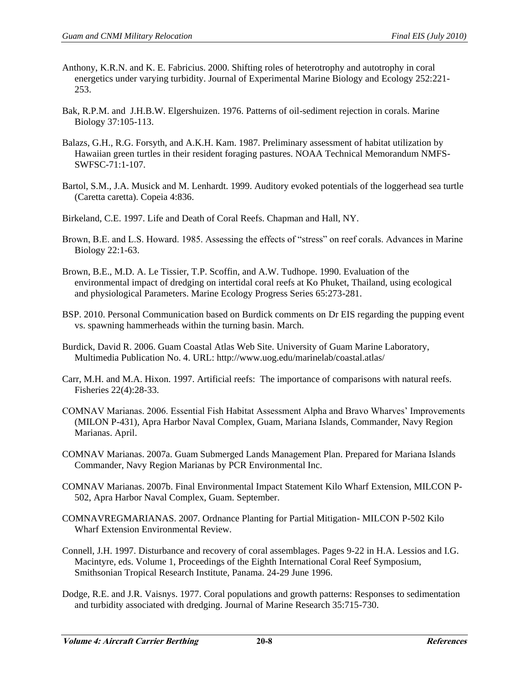- Anthony, K.R.N. and K. E. Fabricius. 2000. Shifting roles of heterotrophy and autotrophy in coral energetics under varying turbidity. Journal of Experimental Marine Biology and Ecology 252:221- 253.
- Bak, R.P.M. and J.H.B.W. Elgershuizen. 1976. Patterns of oil-sediment rejection in corals. Marine Biology 37:105-113.
- Balazs, G.H., R.G. Forsyth, and A.K.H. Kam. 1987. Preliminary assessment of habitat utilization by Hawaiian green turtles in their resident foraging pastures. NOAA Technical Memorandum NMFS-SWFSC-71:1-107.
- Bartol, S.M., J.A. Musick and M. Lenhardt. 1999. Auditory evoked potentials of the loggerhead sea turtle (Caretta caretta). Copeia 4:836.
- Birkeland, C.E. 1997. Life and Death of Coral Reefs. Chapman and Hall, NY.
- Brown, B.E. and L.S. Howard. 1985. Assessing the effects of "stress" on reef corals. Advances in Marine Biology 22:1-63.
- Brown, B.E., M.D. A. Le Tissier, T.P. Scoffin, and A.W. Tudhope. 1990. Evaluation of the environmental impact of dredging on intertidal coral reefs at Ko Phuket, Thailand, using ecological and physiological Parameters. Marine Ecology Progress Series 65:273-281.
- BSP. 2010. Personal Communication based on Burdick comments on Dr EIS regarding the pupping event vs. spawning hammerheads within the turning basin. March.
- Burdick, David R. 2006. Guam Coastal Atlas Web Site. University of Guam Marine Laboratory, Multimedia Publication No. 4. URL: http://www.uog.edu/marinelab/coastal.atlas/
- Carr, M.H. and M.A. Hixon. 1997. Artificial reefs: The importance of comparisons with natural reefs. Fisheries 22(4):28-33.
- COMNAV Marianas. 2006. Essential Fish Habitat Assessment Alpha and Bravo Wharves' Improvements (MILON P-431), Apra Harbor Naval Complex, Guam, Mariana Islands, Commander, Navy Region Marianas. April.
- COMNAV Marianas. 2007a. Guam Submerged Lands Management Plan. Prepared for Mariana Islands Commander, Navy Region Marianas by PCR Environmental Inc.
- COMNAV Marianas. 2007b. Final Environmental Impact Statement Kilo Wharf Extension, MILCON P-502, Apra Harbor Naval Complex, Guam. September.
- COMNAVREGMARIANAS. 2007. Ordnance Planting for Partial Mitigation- MILCON P-502 Kilo Wharf Extension Environmental Review.
- Connell, J.H. 1997. Disturbance and recovery of coral assemblages. Pages 9-22 in H.A. Lessios and I.G. Macintyre, eds. Volume 1, Proceedings of the Eighth International Coral Reef Symposium, Smithsonian Tropical Research Institute, Panama. 24-29 June 1996.
- Dodge, R.E. and J.R. Vaisnys. 1977. Coral populations and growth patterns: Responses to sedimentation and turbidity associated with dredging. Journal of Marine Research 35:715-730.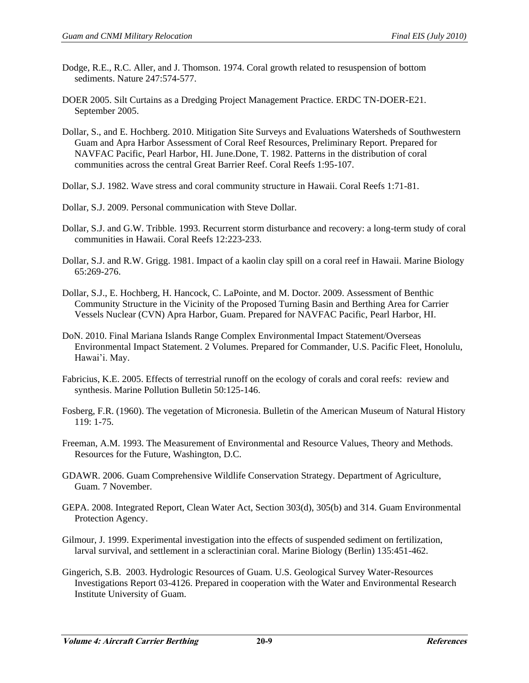- Dodge, R.E., R.C. Aller, and J. Thomson. 1974. Coral growth related to resuspension of bottom sediments. Nature 247:574-577.
- DOER 2005. Silt Curtains as a Dredging Project Management Practice. ERDC TN-DOER-E21. September 2005.
- Dollar, S., and E. Hochberg. 2010. Mitigation Site Surveys and Evaluations Watersheds of Southwestern Guam and Apra Harbor Assessment of Coral Reef Resources, Preliminary Report. Prepared for NAVFAC Pacific, Pearl Harbor, HI. June.Done, T. 1982. Patterns in the distribution of coral communities across the central Great Barrier Reef. Coral Reefs 1:95-107.
- Dollar, S.J. 1982. Wave stress and coral community structure in Hawaii. Coral Reefs 1:71-81.
- Dollar, S.J. 2009. Personal communication with Steve Dollar.
- Dollar, S.J. and G.W. Tribble. 1993. Recurrent storm disturbance and recovery: a long-term study of coral communities in Hawaii. Coral Reefs 12:223-233.
- Dollar, S.J. and R.W. Grigg. 1981. Impact of a kaolin clay spill on a coral reef in Hawaii. Marine Biology 65:269-276.
- Dollar, S.J., E. Hochberg, H. Hancock, C. LaPointe, and M. Doctor. 2009. Assessment of Benthic Community Structure in the Vicinity of the Proposed Turning Basin and Berthing Area for Carrier Vessels Nuclear (CVN) Apra Harbor, Guam. Prepared for NAVFAC Pacific, Pearl Harbor, HI.
- DoN. 2010. Final Mariana Islands Range Complex Environmental Impact Statement/Overseas Environmental Impact Statement. 2 Volumes. Prepared for Commander, U.S. Pacific Fleet, Honolulu, Hawai'i. May.
- Fabricius, K.E. 2005. Effects of terrestrial runoff on the ecology of corals and coral reefs: review and synthesis. Marine Pollution Bulletin 50:125-146.
- Fosberg, F.R. (1960). The vegetation of Micronesia. Bulletin of the American Museum of Natural History 119: 1-75.
- Freeman, A.M. 1993. The Measurement of Environmental and Resource Values, Theory and Methods. Resources for the Future, Washington, D.C.
- GDAWR. 2006. Guam Comprehensive Wildlife Conservation Strategy. Department of Agriculture, Guam. 7 November.
- GEPA. 2008. Integrated Report, Clean Water Act, Section 303(d), 305(b) and 314. Guam Environmental Protection Agency.
- Gilmour, J. 1999. Experimental investigation into the effects of suspended sediment on fertilization, larval survival, and settlement in a scleractinian coral. Marine Biology (Berlin) 135:451-462.
- Gingerich, S.B. 2003. Hydrologic Resources of Guam. U.S. Geological Survey Water-Resources Investigations Report 03-4126. Prepared in cooperation with the Water and Environmental Research Institute University of Guam.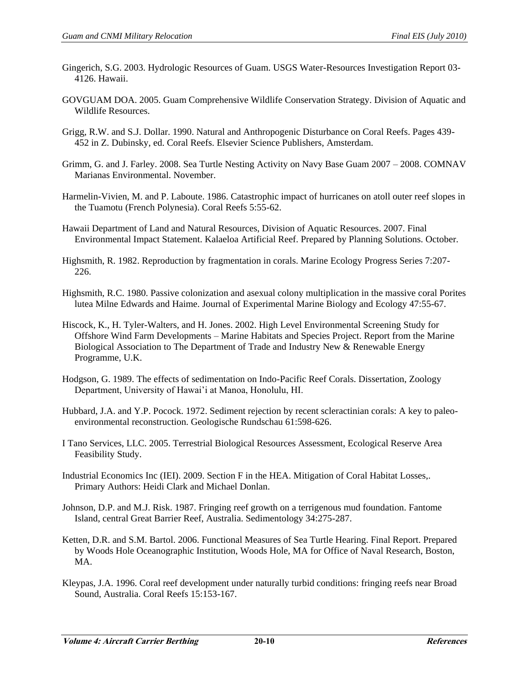- Gingerich, S.G. 2003. Hydrologic Resources of Guam. USGS Water-Resources Investigation Report 03- 4126. Hawaii.
- GOVGUAM DOA. 2005. Guam Comprehensive Wildlife Conservation Strategy. Division of Aquatic and Wildlife Resources.
- Grigg, R.W. and S.J. Dollar. 1990. Natural and Anthropogenic Disturbance on Coral Reefs. Pages 439- 452 in Z. Dubinsky, ed. Coral Reefs. Elsevier Science Publishers, Amsterdam.
- Grimm, G. and J. Farley. 2008. Sea Turtle Nesting Activity on Navy Base Guam 2007 2008. COMNAV Marianas Environmental. November.
- Harmelin-Vivien, M. and P. Laboute. 1986. Catastrophic impact of hurricanes on atoll outer reef slopes in the Tuamotu (French Polynesia). Coral Reefs 5:55-62.
- Hawaii Department of Land and Natural Resources, Division of Aquatic Resources. 2007. Final Environmental Impact Statement. Kalaeloa Artificial Reef. Prepared by Planning Solutions. October.
- Highsmith, R. 1982. Reproduction by fragmentation in corals. Marine Ecology Progress Series 7:207- 226.
- Highsmith, R.C. 1980. Passive colonization and asexual colony multiplication in the massive coral Porites lutea Milne Edwards and Haime. Journal of Experimental Marine Biology and Ecology 47:55-67.
- Hiscock, K., H. Tyler-Walters, and H. Jones. 2002. High Level Environmental Screening Study for Offshore Wind Farm Developments – Marine Habitats and Species Project. Report from the Marine Biological Association to The Department of Trade and Industry New & Renewable Energy Programme, U.K.
- Hodgson, G. 1989. The effects of sedimentation on Indo-Pacific Reef Corals. Dissertation, Zoology Department, University of Hawai'i at Manoa, Honolulu, HI.
- Hubbard, J.A. and Y.P. Pocock. 1972. Sediment rejection by recent scleractinian corals: A key to paleoenvironmental reconstruction. Geologische Rundschau 61:598-626.
- I Tano Services, LLC. 2005. Terrestrial Biological Resources Assessment, Ecological Reserve Area Feasibility Study.
- Industrial Economics Inc (IEI). 2009. Section F in the HEA. Mitigation of Coral Habitat Losses,. Primary Authors: Heidi Clark and Michael Donlan.
- Johnson, D.P. and M.J. Risk. 1987. Fringing reef growth on a terrigenous mud foundation. Fantome Island, central Great Barrier Reef, Australia. Sedimentology 34:275-287.
- Ketten, D.R. and S.M. Bartol. 2006. Functional Measures of Sea Turtle Hearing. Final Report. Prepared by Woods Hole Oceanographic Institution, Woods Hole, MA for Office of Naval Research, Boston, MA.
- Kleypas, J.A. 1996. Coral reef development under naturally turbid conditions: fringing reefs near Broad Sound, Australia. Coral Reefs 15:153-167.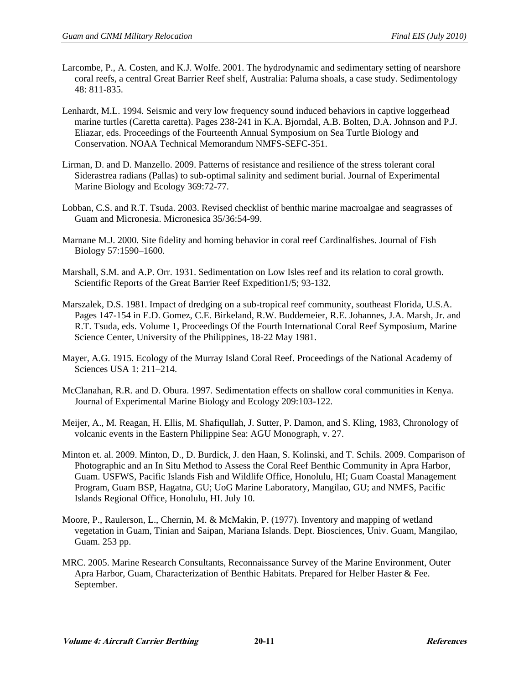- Larcombe, P., A. Costen, and K.J. Wolfe. 2001. The hydrodynamic and sedimentary setting of nearshore coral reefs, a central Great Barrier Reef shelf, Australia: Paluma shoals, a case study. Sedimentology 48: 811-835.
- Lenhardt, M.L. 1994. Seismic and very low frequency sound induced behaviors in captive loggerhead marine turtles (Caretta caretta). Pages 238-241 in K.A. Bjorndal, A.B. Bolten, D.A. Johnson and P.J. Eliazar, eds. Proceedings of the Fourteenth Annual Symposium on Sea Turtle Biology and Conservation. NOAA Technical Memorandum NMFS-SEFC-351.
- Lirman, D. and D. Manzello. 2009. Patterns of resistance and resilience of the stress tolerant coral Siderastrea radians (Pallas) to sub-optimal salinity and sediment burial. Journal of Experimental Marine Biology and Ecology 369:72-77.
- Lobban, C.S. and R.T. Tsuda. 2003. Revised checklist of benthic marine macroalgae and seagrasses of Guam and Micronesia. Micronesica 35/36:54-99.
- Marnane M.J. 2000. Site fidelity and homing behavior in coral reef Cardinalfishes. Journal of Fish Biology 57:1590–1600.
- Marshall, S.M. and A.P. Orr. 1931. Sedimentation on Low Isles reef and its relation to coral growth. Scientific Reports of the Great Barrier Reef Expedition1/5; 93-132.
- Marszalek, D.S. 1981. Impact of dredging on a sub-tropical reef community, southeast Florida, U.S.A. Pages 147-154 in E.D. Gomez, C.E. Birkeland, R.W. Buddemeier, R.E. Johannes, J.A. Marsh, Jr. and R.T. Tsuda, eds. Volume 1, Proceedings Of the Fourth International Coral Reef Symposium, Marine Science Center, University of the Philippines, 18-22 May 1981.
- Mayer, A.G. 1915. Ecology of the Murray Island Coral Reef. Proceedings of the National Academy of Sciences USA 1: 211–214.
- McClanahan, R.R. and D. Obura. 1997. Sedimentation effects on shallow coral communities in Kenya. Journal of Experimental Marine Biology and Ecology 209:103-122.
- Meijer, A., M. Reagan, H. Ellis, M. Shafiqullah, J. Sutter, P. Damon, and S. Kling, 1983, Chronology of volcanic events in the Eastern Philippine Sea: AGU Monograph, v. 27.
- Minton et. al. 2009. Minton, D., D. Burdick, J. den Haan, S. Kolinski, and T. Schils. 2009. Comparison of Photographic and an In Situ Method to Assess the Coral Reef Benthic Community in Apra Harbor, Guam. USFWS, Pacific Islands Fish and Wildlife Office, Honolulu, HI; Guam Coastal Management Program, Guam BSP, Hagatna, GU; UoG Marine Laboratory, Mangilao, GU; and NMFS, Pacific Islands Regional Office, Honolulu, HI. July 10.
- Moore, P., Raulerson, L., Chernin, M. & McMakin, P. (1977). Inventory and mapping of wetland vegetation in Guam, Tinian and Saipan, Mariana Islands. Dept. Biosciences, Univ. Guam, Mangilao, Guam. 253 pp.
- MRC. 2005. Marine Research Consultants, Reconnaissance Survey of the Marine Environment, Outer Apra Harbor, Guam, Characterization of Benthic Habitats. Prepared for Helber Haster & Fee. September.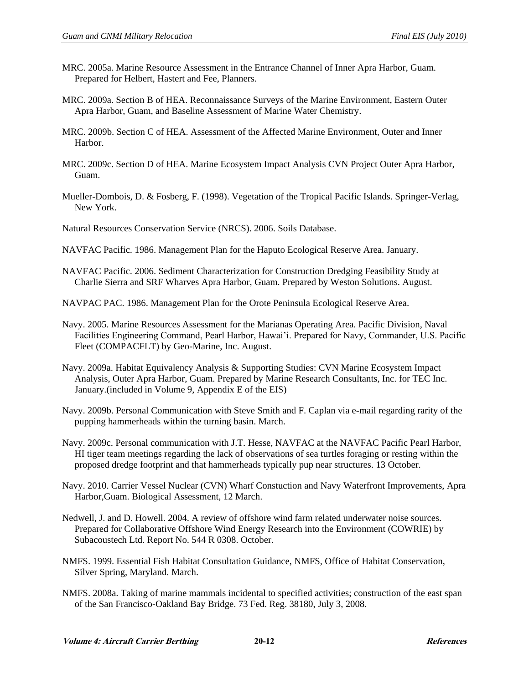- MRC. 2005a. Marine Resource Assessment in the Entrance Channel of Inner Apra Harbor, Guam. Prepared for Helbert, Hastert and Fee, Planners.
- MRC. 2009a. Section B of HEA. Reconnaissance Surveys of the Marine Environment, Eastern Outer Apra Harbor, Guam, and Baseline Assessment of Marine Water Chemistry.
- MRC. 2009b. Section C of HEA. Assessment of the Affected Marine Environment, Outer and Inner Harbor.
- MRC. 2009c. Section D of HEA. Marine Ecosystem Impact Analysis CVN Project Outer Apra Harbor, Guam.
- Mueller-Dombois, D. & Fosberg, F. (1998). Vegetation of the Tropical Pacific Islands. Springer-Verlag, New York.
- Natural Resources Conservation Service (NRCS). 2006. Soils Database.
- NAVFAC Pacific. 1986. Management Plan for the Haputo Ecological Reserve Area. January.
- NAVFAC Pacific. 2006. Sediment Characterization for Construction Dredging Feasibility Study at Charlie Sierra and SRF Wharves Apra Harbor, Guam. Prepared by Weston Solutions. August.
- NAVPAC PAC. 1986. Management Plan for the Orote Peninsula Ecological Reserve Area.
- Navy. 2005. Marine Resources Assessment for the Marianas Operating Area. Pacific Division, Naval Facilities Engineering Command, Pearl Harbor, Hawai'i. Prepared for Navy, Commander, U.S. Pacific Fleet (COMPACFLT) by Geo-Marine, Inc. August.
- Navy. 2009a. Habitat Equivalency Analysis & Supporting Studies: CVN Marine Ecosystem Impact Analysis, Outer Apra Harbor, Guam. Prepared by Marine Research Consultants, Inc. for TEC Inc. January.(included in Volume 9, Appendix E of the EIS)
- Navy. 2009b. Personal Communication with Steve Smith and F. Caplan via e-mail regarding rarity of the pupping hammerheads within the turning basin. March.
- Navy. 2009c. Personal communication with J.T. Hesse, NAVFAC at the NAVFAC Pacific Pearl Harbor, HI tiger team meetings regarding the lack of observations of sea turtles foraging or resting within the proposed dredge footprint and that hammerheads typically pup near structures. 13 October.
- Navy. 2010. Carrier Vessel Nuclear (CVN) Wharf Constuction and Navy Waterfront Improvements, Apra Harbor,Guam. Biological Assessment, 12 March.
- Nedwell, J. and D. Howell. 2004. A review of offshore wind farm related underwater noise sources. Prepared for Collaborative Offshore Wind Energy Research into the Environment (COWRIE) by Subacoustech Ltd. Report No. 544 R 0308. October.
- NMFS. 1999. Essential Fish Habitat Consultation Guidance, NMFS, Office of Habitat Conservation, Silver Spring, Maryland. March.
- NMFS. 2008a. Taking of marine mammals incidental to specified activities; construction of the east span of the San Francisco-Oakland Bay Bridge. 73 Fed. Reg. 38180, July 3, 2008.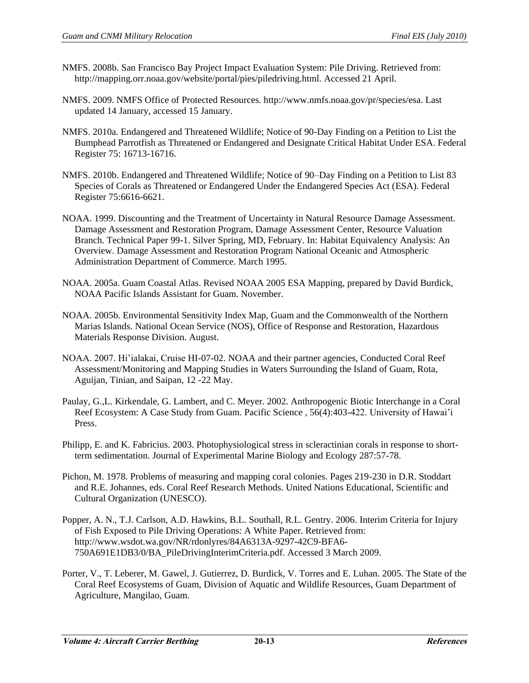- NMFS. 2008b. San Francisco Bay Project Impact Evaluation System: Pile Driving. Retrieved from: http://mapping.orr.noaa.gov/website/portal/pies/piledriving.html. Accessed 21 April.
- NMFS. 2009. NMFS Office of Protected Resources. http://www.nmfs.noaa.gov/pr/species/esa. Last updated 14 January, accessed 15 January.
- NMFS. 2010a. Endangered and Threatened Wildlife; Notice of 90-Day Finding on a Petition to List the Bumphead Parrotfish as Threatened or Endangered and Designate Critical Habitat Under ESA. Federal Register 75: 16713-16716.
- NMFS. 2010b. Endangered and Threatened Wildlife; Notice of 90–Day Finding on a Petition to List 83 Species of Corals as Threatened or Endangered Under the Endangered Species Act (ESA). Federal Register 75:6616-6621.
- NOAA. 1999. Discounting and the Treatment of Uncertainty in Natural Resource Damage Assessment. Damage Assessment and Restoration Program, Damage Assessment Center, Resource Valuation Branch. Technical Paper 99-1. Silver Spring, MD, February. In: Habitat Equivalency Analysis: An Overview. Damage Assessment and Restoration Program National Oceanic and Atmospheric Administration Department of Commerce. March 1995.
- NOAA. 2005a. Guam Coastal Atlas. Revised NOAA 2005 ESA Mapping, prepared by David Burdick, NOAA Pacific Islands Assistant for Guam. November.
- NOAA. 2005b. Environmental Sensitivity Index Map, Guam and the Commonwealth of the Northern Marias Islands. National Ocean Service (NOS), Office of Response and Restoration, Hazardous Materials Response Division. August.
- NOAA. 2007. Hi'ialakai, Cruise HI-07-02. NOAA and their partner agencies, Conducted Coral Reef Assessment/Monitoring and Mapping Studies in Waters Surrounding the Island of Guam, Rota, Aguijan, Tinian, and Saipan, 12 -22 May.
- Paulay, G.,L. Kirkendale, G. Lambert, and C. Meyer. 2002. Anthropogenic Biotic Interchange in a Coral Reef Ecosystem: A Case Study from Guam. Pacific Science , 56(4):403-422. University of Hawai'i Press.
- Philipp, E. and K. Fabricius. 2003. Photophysiological stress in scleractinian corals in response to shortterm sedimentation. Journal of Experimental Marine Biology and Ecology 287:57-78.
- Pichon, M. 1978. Problems of measuring and mapping coral colonies. Pages 219-230 in D.R. Stoddart and R.E. Johannes, eds. Coral Reef Research Methods. United Nations Educational, Scientific and Cultural Organization (UNESCO).
- Popper, A. N., T.J. Carlson, A.D. Hawkins, B.L. Southall, R.L. Gentry. 2006. Interim Criteria for Injury of Fish Exposed to Pile Driving Operations: A White Paper. Retrieved from: http://www.wsdot.wa.gov/NR/rdonlyres/84A6313A-9297-42C9-BFA6- 750A691E1DB3/0/BA\_PileDrivingInterimCriteria.pdf. Accessed 3 March 2009.
- Porter, V., T. Leberer, M. Gawel, J. Gutierrez, D. Burdick, V. Torres and E. Luhan. 2005. The State of the Coral Reef Ecosystems of Guam, Division of Aquatic and Wildlife Resources, Guam Department of Agriculture, Mangilao, Guam.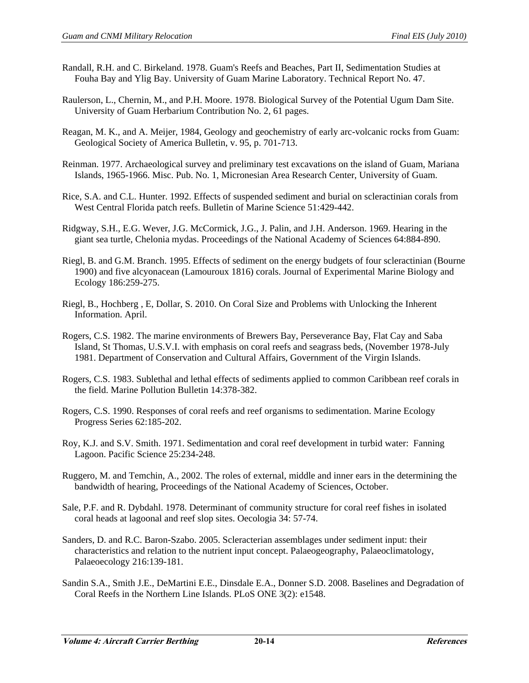- Randall, R.H. and C. Birkeland. 1978. Guam's Reefs and Beaches, Part II, Sedimentation Studies at Fouha Bay and Ylig Bay. University of Guam Marine Laboratory. Technical Report No. 47.
- Raulerson, L., Chernin, M., and P.H. Moore. 1978. Biological Survey of the Potential Ugum Dam Site. University of Guam Herbarium Contribution No. 2, 61 pages.
- Reagan, M. K., and A. Meijer, 1984, Geology and geochemistry of early arc-volcanic rocks from Guam: Geological Society of America Bulletin, v. 95, p. 701-713.
- Reinman. 1977. Archaeological survey and preliminary test excavations on the island of Guam, Mariana Islands, 1965-1966. Misc. Pub. No. 1, Micronesian Area Research Center, University of Guam.
- Rice, S.A. and C.L. Hunter. 1992. Effects of suspended sediment and burial on scleractinian corals from West Central Florida patch reefs. Bulletin of Marine Science 51:429-442.
- Ridgway, S.H., E.G. Wever, J.G. McCormick, J.G., J. Palin, and J.H. Anderson. 1969. Hearing in the giant sea turtle, Chelonia mydas. Proceedings of the National Academy of Sciences 64:884-890.
- Riegl, B. and G.M. Branch. 1995. Effects of sediment on the energy budgets of four scleractinian (Bourne 1900) and five alcyonacean (Lamouroux 1816) corals. Journal of Experimental Marine Biology and Ecology 186:259-275.
- Riegl, B., Hochberg , E, Dollar, S. 2010. On Coral Size and Problems with Unlocking the Inherent Information. April.
- Rogers, C.S. 1982. The marine environments of Brewers Bay, Perseverance Bay, Flat Cay and Saba Island, St Thomas, U.S.V.I. with emphasis on coral reefs and seagrass beds, (November 1978-July 1981. Department of Conservation and Cultural Affairs, Government of the Virgin Islands.
- Rogers, C.S. 1983. Sublethal and lethal effects of sediments applied to common Caribbean reef corals in the field. Marine Pollution Bulletin 14:378-382.
- Rogers, C.S. 1990. Responses of coral reefs and reef organisms to sedimentation. Marine Ecology Progress Series 62:185-202.
- Roy, K.J. and S.V. Smith. 1971. Sedimentation and coral reef development in turbid water: Fanning Lagoon. Pacific Science 25:234-248.
- Ruggero, M. and Temchin, A., 2002. The roles of external, middle and inner ears in the determining the bandwidth of hearing, Proceedings of the National Academy of Sciences, October.
- Sale, P.F. and R. Dybdahl. 1978. Determinant of community structure for coral reef fishes in isolated coral heads at lagoonal and reef slop sites. Oecologia 34: 57-74.
- Sanders, D. and R.C. Baron-Szabo. 2005. Scleracterian assemblages under sediment input: their characteristics and relation to the nutrient input concept. Palaeogeography, Palaeoclimatology, Palaeoecology 216:139-181.
- Sandin S.A., Smith J.E., DeMartini E.E., Dinsdale E.A., Donner S.D. 2008. Baselines and Degradation of Coral Reefs in the Northern Line Islands. PLoS ONE 3(2): e1548.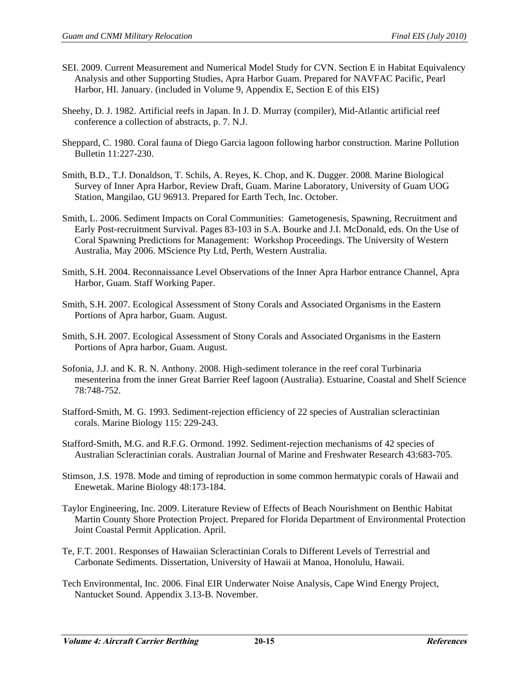- SEI. 2009. Current Measurement and Numerical Model Study for CVN. Section E in Habitat Equivalency Analysis and other Supporting Studies, Apra Harbor Guam. Prepared for NAVFAC Pacific, Pearl Harbor, HI. January. (included in Volume 9, Appendix E, Section E of this EIS)
- Sheehy, D. J. 1982. Artificial reefs in Japan. In J. D. Murray (compiler), Mid-Atlantic artificial reef conference a collection of abstracts, p. 7. N.J.
- Sheppard, C. 1980. Coral fauna of Diego Garcia lagoon following harbor construction. Marine Pollution Bulletin 11:227-230.
- Smith, B.D., T.J. Donaldson, T. Schils, A. Reyes, K. Chop, and K. Dugger. 2008. Marine Biological Survey of Inner Apra Harbor, Review Draft, Guam. Marine Laboratory, University of Guam UOG Station, Mangilao, GU 96913. Prepared for Earth Tech, Inc. October.
- Smith, L. 2006. Sediment Impacts on Coral Communities: Gametogenesis, Spawning, Recruitment and Early Post-recruitment Survival. Pages 83-103 in S.A. Bourke and J.I. McDonald, eds. On the Use of Coral Spawning Predictions for Management: Workshop Proceedings. The University of Western Australia, May 2006. MScience Pty Ltd, Perth, Western Australia.
- Smith, S.H. 2004. Reconnaissance Level Observations of the Inner Apra Harbor entrance Channel, Apra Harbor, Guam. Staff Working Paper.
- Smith, S.H. 2007. Ecological Assessment of Stony Corals and Associated Organisms in the Eastern Portions of Apra harbor, Guam. August.
- Smith, S.H. 2007. Ecological Assessment of Stony Corals and Associated Organisms in the Eastern Portions of Apra harbor, Guam. August.
- Sofonia, J.J. and K. R. N. Anthony. 2008. High-sediment tolerance in the reef coral Turbinaria mesenterina from the inner Great Barrier Reef lagoon (Australia). Estuarine, Coastal and Shelf Science 78:748-752.
- Stafford-Smith, M. G. 1993. Sediment-rejection efficiency of 22 species of Australian scleractinian corals. Marine Biology 115: 229-243.
- Stafford-Smith, M.G. and R.F.G. Ormond. 1992. Sediment-rejection mechanisms of 42 species of Australian Scleractinian corals. Australian Journal of Marine and Freshwater Research 43:683-705.
- Stimson, J.S. 1978. Mode and timing of reproduction in some common hermatypic corals of Hawaii and Enewetak. Marine Biology 48:173-184.
- Taylor Engineering, Inc. 2009. Literature Review of Effects of Beach Nourishment on Benthic Habitat Martin County Shore Protection Project. Prepared for Florida Department of Environmental Protection Joint Coastal Permit Application. April.
- Te, F.T. 2001. Responses of Hawaiian Scleractinian Corals to Different Levels of Terrestrial and Carbonate Sediments. Dissertation, University of Hawaii at Manoa, Honolulu, Hawaii.
- Tech Environmental, Inc. 2006. Final EIR Underwater Noise Analysis, Cape Wind Energy Project, Nantucket Sound. Appendix 3.13-B. November.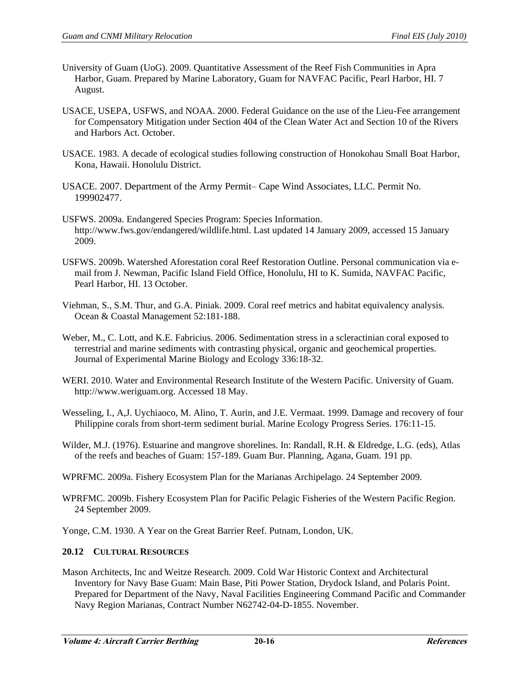- University of Guam (UoG). 2009. Quantitative Assessment of the Reef Fish Communities in Apra Harbor, Guam. Prepared by Marine Laboratory, Guam for NAVFAC Pacific, Pearl Harbor, HI. 7 August.
- USACE, USEPA, USFWS, and NOAA. 2000. Federal Guidance on the use of the Lieu-Fee arrangement for Compensatory Mitigation under Section 404 of the Clean Water Act and Section 10 of the Rivers and Harbors Act. October.
- USACE. 1983. A decade of ecological studies following construction of Honokohau Small Boat Harbor, Kona, Hawaii. Honolulu District.
- USACE. 2007. Department of the Army Permit– Cape Wind Associates, LLC. Permit No. 199902477.
- USFWS. 2009a. Endangered Species Program: Species Information. http://www.fws.gov/endangered/wildlife.html. Last updated 14 January 2009, accessed 15 January 2009.
- USFWS. 2009b. Watershed Aforestation coral Reef Restoration Outline. Personal communication via email from J. Newman, Pacific Island Field Office, Honolulu, HI to K. Sumida, NAVFAC Pacific, Pearl Harbor, HI. 13 October.
- Viehman, S., S.M. Thur, and G.A. Piniak. 2009. Coral reef metrics and habitat equivalency analysis. Ocean & Coastal Management 52:181-188.
- Weber, M., C. Lott, and K.E. Fabricius. 2006. Sedimentation stress in a scleractinian coral exposed to terrestrial and marine sediments with contrasting physical, organic and geochemical properties. Journal of Experimental Marine Biology and Ecology 336:18-32.
- WERI. 2010. Water and Environmental Research Institute of the Western Pacific. University of Guam. http://www.weriguam.org. Accessed 18 May.
- Wesseling, I., A,J. Uychiaoco, M. Alino, T. Aurin, and J.E. Vermaat. 1999. Damage and recovery of four Philippine corals from short-term sediment burial. Marine Ecology Progress Series. 176:11-15.
- Wilder, M.J. (1976). Estuarine and mangrove shorelines. In: Randall, R.H. & Eldredge, L.G. (eds), Atlas of the reefs and beaches of Guam: 157-189. Guam Bur. Planning, Agana, Guam. 191 pp.
- WPRFMC. 2009a. Fishery Ecosystem Plan for the Marianas Archipelago. 24 September 2009.
- WPRFMC. 2009b. Fishery Ecosystem Plan for Pacific Pelagic Fisheries of the Western Pacific Region. 24 September 2009.

Yonge, C.M. 1930. A Year on the Great Barrier Reef. Putnam, London, UK.

## **20.12 CULTURAL RESOURCES**

Mason Architects, Inc and Weitze Research. 2009. Cold War Historic Context and Architectural Inventory for Navy Base Guam: Main Base, Piti Power Station, Drydock Island, and Polaris Point. Prepared for Department of the Navy, Naval Facilities Engineering Command Pacific and Commander Navy Region Marianas, Contract Number N62742-04-D-1855. November.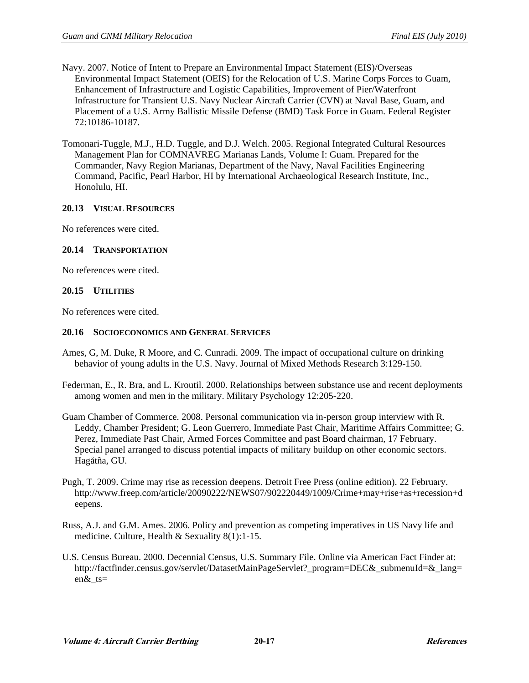- Navy. 2007. Notice of Intent to Prepare an Environmental Impact Statement (EIS)/Overseas Environmental Impact Statement (OEIS) for the Relocation of U.S. Marine Corps Forces to Guam, Enhancement of Infrastructure and Logistic Capabilities, Improvement of Pier/Waterfront Infrastructure for Transient U.S. Navy Nuclear Aircraft Carrier (CVN) at Naval Base, Guam, and Placement of a U.S. Army Ballistic Missile Defense (BMD) Task Force in Guam. Federal Register 72:10186-10187.
- Tomonari-Tuggle, M.J., H.D. Tuggle, and D.J. Welch. 2005. Regional Integrated Cultural Resources Management Plan for COMNAVREG Marianas Lands, Volume I: Guam. Prepared for the Commander, Navy Region Marianas, Department of the Navy, Naval Facilities Engineering Command, Pacific, Pearl Harbor, HI by International Archaeological Research Institute, Inc., Honolulu, HI.

# **20.13 VISUAL RESOURCES**

No references were cited.

## **20.14 TRANSPORTATION**

No references were cited.

#### **20.15 UTILITIES**

No references were cited.

#### **20.16 SOCIOECONOMICS AND GENERAL SERVICES**

- Ames, G, M. Duke, R Moore, and C. Cunradi. 2009. The impact of occupational culture on drinking behavior of young adults in the U.S. Navy. Journal of Mixed Methods Research 3:129-150.
- Federman, E., R. Bra, and L. Kroutil. 2000. Relationships between substance use and recent deployments among women and men in the military. Military Psychology 12:205-220.
- Guam Chamber of Commerce. 2008. Personal communication via in-person group interview with R. Leddy, Chamber President; G. Leon Guerrero, Immediate Past Chair, Maritime Affairs Committee; G. Perez, Immediate Past Chair, Armed Forces Committee and past Board chairman, 17 February. Special panel arranged to discuss potential impacts of military buildup on other economic sectors. Hagåtña, GU.
- Pugh, T. 2009. Crime may rise as recession deepens. Detroit Free Press (online edition). 22 February. http://www.freep.com/article/20090222/NEWS07/902220449/1009/Crime+may+rise+as+recession+d eepens.
- Russ, A.J. and G.M. Ames. 2006. Policy and prevention as competing imperatives in US Navy life and [medicine. Culture, Health & Sexuality 8\(1\):1-15.](http://factfinder.census.gov/servlet/DatasetMainPageServlet?_program=DEC&_submenuId=&_lang=en&_ts)
- [U.S. Censu](http://factfinder.census.gov/servlet/DatasetMainPageServlet?_program=DEC&_submenuId=&_lang=en&_ts)s Bureau. 2000. Decennial Census, U.S. Summary File. Online via American Fact Finder at: http://factfinder.census.gov/servlet/DatasetMainPageServlet?\_program=DEC&\_submenuId=&\_lang= en&\_ts=